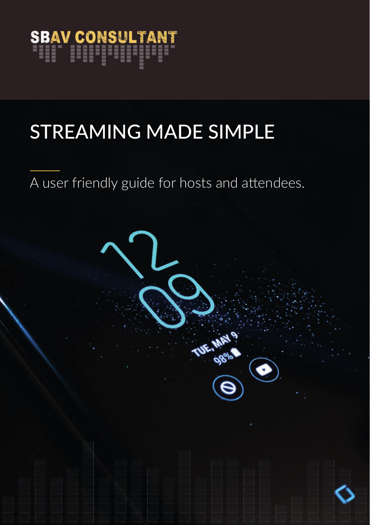

## STREAMING MADE SIMPLE

A user friendly guide for hosts and attendees.

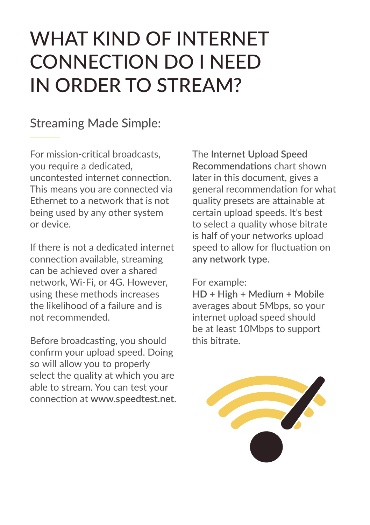### WHAT KIND OF INTERNET CONNECTION DO I NEED IN ORDER TO STREAM?

#### Streaming Made Simple:

For mission-critical broadcasts, you require a dedicated, uncontested internet connection. This means you are connected via Ethernet to a network that is not being used by any other system or device.

If there is not a dedicated internet connection available, streaming can be achieved over a shared network, Wi-Fi, or 4G. However, using these methods increases the likelihood of a failure and is not recommended.

Before broadcasting, you should confirm your upload speed. Doing so will allow you to properly select the quality at which you are able to stream. You can test your connection at **www.speedtest.net**. The **Internet Upload Speed Recommendations** chart shown later in this document, gives a general recommendation for what quality presets are attainable at certain upload speeds. It's best to select a quality whose bitrate is **half** of your networks upload speed to allow for fluctuation on **any network type**.

#### For example:

**HD + High + Medium + Mobile** averages about 5Mbps, so your internet upload speed should be at least 10Mbps to support this bitrate.

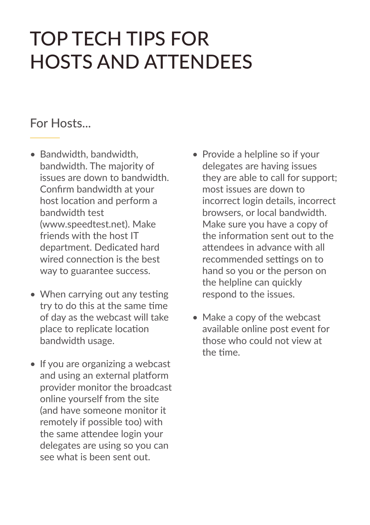### TOP TECH TIPS FOR HOSTS AND ATTENDEES

#### For Hosts...

- Bandwidth, bandwidth, bandwidth. The majority of issues are down to bandwidth. Confirm bandwidth at your host location and perform a bandwidth test (www.speedtest.net). Make friends with the host IT department. Dedicated hard wired connection is the best way to guarantee success.
- When carrying out any testing try to do this at the same time of day as the webcast will take place to replicate location bandwidth usage.
- If you are organizing a webcast and using an external platform provider monitor the broadcast online yourself from the site (and have someone monitor it remotely if possible too) with the same attendee login your delegates are using so you can see what is been sent out.
- Provide a helpline so if your delegates are having issues they are able to call for support; most issues are down to incorrect login details, incorrect browsers, or local bandwidth. Make sure you have a copy of the information sent out to the attendees in advance with all recommended settings on to hand so you or the person on the helpline can quickly respond to the issues.
- Make a copy of the webcast available online post event for those who could not view at the time.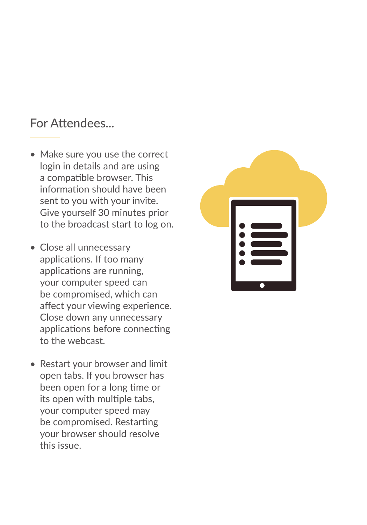#### For Attendees...

- Make sure you use the correct login in details and are using a compatible browser. This information should have been sent to you with your invite. Give yourself 30 minutes prior to the broadcast start to log on.
- Close all unnecessary applications. If too many applications are running, your computer speed can be compromised, which can affect your viewing experience. Close down any unnecessary applications before connecting to the webcast.
- Restart your browser and limit open tabs. If you browser has been open for a long time or its open with multiple tabs, your computer speed may be compromised. Restarting your browser should resolve this issue.

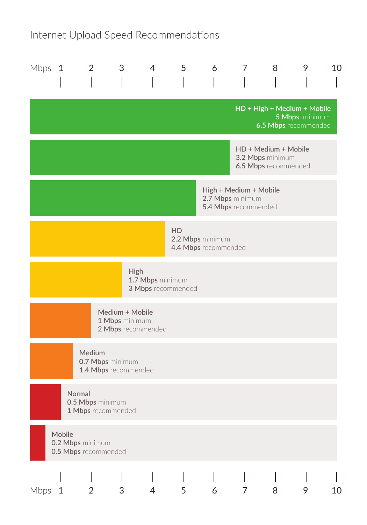### Internet Upload Speed Recommendations

| Mbps $1$                                                           |              | $\overline{2}$                                   | 3                                                       | 4 | 5         | 6                                        | 7 | 8                                                                | 9              | 10 |
|--------------------------------------------------------------------|--------------|--------------------------------------------------|---------------------------------------------------------|---|-----------|------------------------------------------|---|------------------------------------------------------------------|----------------|----|
|                                                                    |              |                                                  |                                                         |   |           |                                          |   | HD + High + Medium + Mobile<br>6.5 Mbps recommended              | 5 Mbps minimum |    |
|                                                                    |              |                                                  |                                                         |   |           |                                          |   | HD + Medium + Mobile<br>3.2 Mbps minimum<br>6.5 Mbps recommended |                |    |
| High + Medium + Mobile<br>2.7 Mbps minimum<br>5.4 Mbps recommended |              |                                                  |                                                         |   |           |                                          |   |                                                                  |                |    |
|                                                                    |              |                                                  |                                                         |   | <b>HD</b> | 2.2 Mbps minimum<br>4.4 Mbps recommended |   |                                                                  |                |    |
| High<br>1.7 Mbps minimum<br>3 Mbps recommended                     |              |                                                  |                                                         |   |           |                                          |   |                                                                  |                |    |
|                                                                    |              |                                                  | Medium + Mobile<br>1 Mbps minimum<br>2 Mbps recommended |   |           |                                          |   |                                                                  |                |    |
|                                                                    |              | Medium                                           | 0.7 Mbps minimum<br>1.4 Mbps recommended                |   |           |                                          |   |                                                                  |                |    |
|                                                                    |              | Normal<br>0.5 Mbps minimum<br>1 Mbps recommended |                                                         |   |           |                                          |   |                                                                  |                |    |
|                                                                    | Mobile       | 0.2 Mbps minimum<br>0.5 Mbps recommended         |                                                         |   |           |                                          |   |                                                                  |                |    |
| <b>Mbps</b>                                                        | $\mathbf{1}$ | 2                                                | 3                                                       | 4 | 5         | 6                                        | 7 | 8                                                                | 9              | 10 |